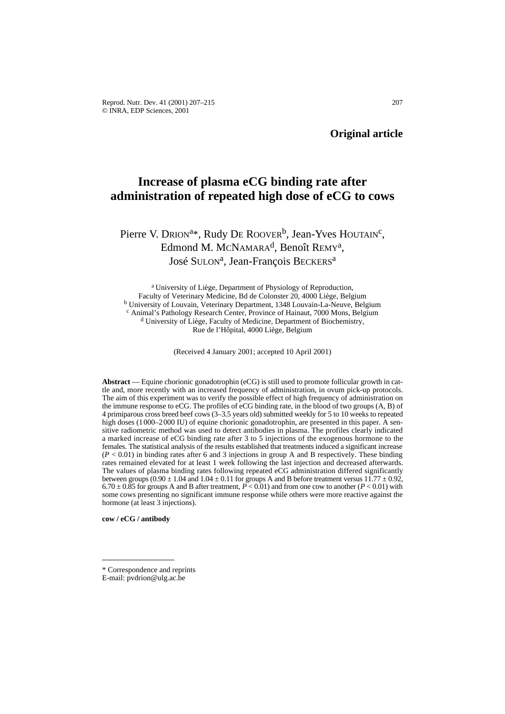Reprod. Nutr. Dev. 41 (2001) 207–215 207 © INRA, EDP Sciences, 2001

**Original article**

# **Increase of plasma eCG binding rate after administration of repeated high dose of eCG to cows**

# Pierre V. DRION<sup>a\*</sup>, Rudy DE ROOVER<sup>b</sup>, Jean-Yves HOUTAIN<sup>c</sup>, Edmond M. MCNAMARA<sup>d</sup>, Benoît REMY<sup>a</sup>, José SULON<sup>a</sup>, Jean-François BECKERS<sup>a</sup>

a University of Liège, Department of Physiology of Reproduction, Faculty of Veterinary Medicine, Bd de Colonster 20, 4000 Liège, Belgium <sup>b</sup> University of Louvain, Veterinary Department, 1348 Louvain-La-Neuve, Belgium <sup>c</sup> Animal's Pathology Research Center, Province of Hainaut, 7000 Mons, Belgium <sup>d</sup> University of Liège, Faculty of Medicine, Department of Biochemistry, Rue de l'Hôpital, 4000 Liège, Belgium

(Received 4 January 2001; accepted 10 April 2001)

**Abstract** — Equine chorionic gonadotrophin (eCG) is still used to promote follicular growth in cattle and, more recently with an increased frequency of administration, in ovum pick-up protocols. The aim of this experiment was to verify the possible effect of high frequency of administration on the immune response to eCG. The profiles of eCG binding rate, in the blood of two groups (A, B) of 4 primiparous cross breed beef cows (3–3.5 years old) submitted weekly for 5 to 10 weeks to repeated high doses (1000–2000 IU) of equine chorionic gonadotrophin, are presented in this paper. A sensitive radiometric method was used to detect antibodies in plasma. The profiles clearly indicated a marked increase of eCG binding rate after 3 to 5 injections of the exogenous hormone to the females. The statistical analysis of the results established that treatments induced a significant increase  $(P < 0.01)$  in binding rates after 6 and 3 injections in group A and B respectively. These binding rates remained elevated for at least 1 week following the last injection and decreased afterwards. The values of plasma binding rates following repeated eCG administration differed significantly between groups  $(0.90 \pm 1.04 \text{ and } 1.04 \pm 0.11 \text{ for groups A and B before treatment versus } 11.77 \pm 0.92$ ,  $6.70 \pm 0.85$  for groups A and B after treatment,  $P < 0.01$  and from one cow to another ( $P < 0.01$ ) with some cows presenting no significant immune response while others were more reactive against the hormone (at least 3 injections).

**cow / eCG / antibody**

<sup>\*</sup> Correspondence and reprints

E-mail: pvdrion@ulg.ac.be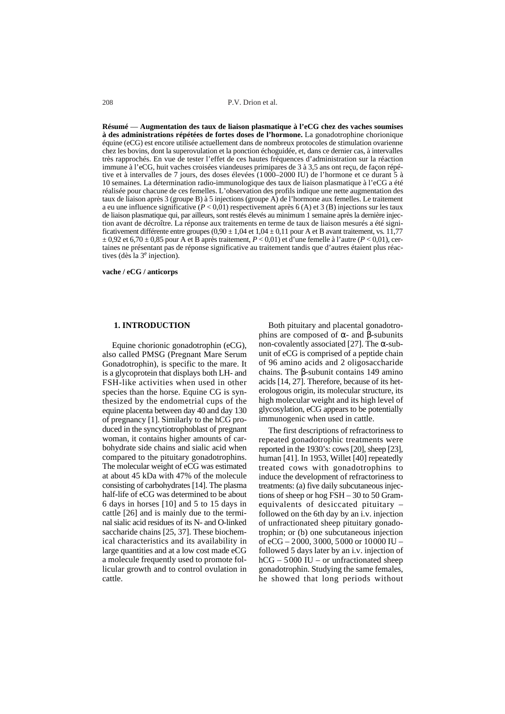**Résumé** — **Augmentation des taux de liaison plasmatique à l'eCG chez des vaches soumises à des administrations répétées de fortes doses de l'hormone.** La gonadotrophine chorionique équine (eCG) est encore utilisée actuellement dans de nombreux protocoles de stimulation ovarienne chez les bovins, dont la superovulation et la ponction échoguidée, et, dans ce dernier cas, à intervalles très rapprochés. En vue de tester l'effet de ces hautes fréquences d'administration sur la réaction immune à l'eCG, huit vaches croisées viandeuses primipares de 3 à 3,5 ans ont reçu, de façon répétive et à intervalles de 7 jours, des doses élevées (1000–2000 IU) de l'hormone et ce durant 5 à 10 semaines. La détermination radio-immunologique des taux de liaison plasmatique à l'eCG a été réalisée pour chacune de ces femelles. L'observation des profils indique une nette augmentation des taux de liaison après 3 (groupe B) à 5 injections (groupe A) de l'hormone aux femelles. Le traitement a eu une influence significative ( $P < 0.01$ ) respectivement après 6 (A) et 3 (B) injections sur les taux de liaison plasmatique qui, par ailleurs, sont restés élevés au minimum 1 semaine après la dernière injection avant de décroître. La réponse aux traitements en terme de taux de liaison mesurés a été significativement différente entre groupes  $(0.90 \pm 1.04 \pm 0.11)$  pour A et B avant traitement, vs. 11,77 ± 0,92 et 6,70 ± 0,85 pour A et B après traitement, *P* < 0,01) et d'une femelle à l'autre (*P* < 0,01), certaines ne présentant pas de réponse significative au traitement tandis que d'autres étaient plus réactives (dès la 3e injection).

**vache / eCG / anticorps**

#### **1. INTRODUCTION**

Equine chorionic gonadotrophin (eCG), also called PMSG (Pregnant Mare Serum Gonadotrophin), is specific to the mare. It is a glycoprotein that displays both LH- and FSH-like activities when used in other species than the horse. Equine CG is synthesized by the endometrial cups of the equine placenta between day 40 and day 130 of pregnancy [1]. Similarly to the hCG produced in the syncytiotrophoblast of pregnant woman, it contains higher amounts of carbohydrate side chains and sialic acid when compared to the pituitary gonadotrophins. The molecular weight of eCG was estimated at about 45 kDa with 47% of the molecule consisting of carbohydrates [14]. The plasma half-life of eCG was determined to be about 6 days in horses [10] and 5 to 15 days in cattle [26] and is mainly due to the terminal sialic acid residues of its N- and O-linked saccharide chains [25, 37]. These biochemical characteristics and its availability in large quantities and at a low cost made eCG a molecule frequently used to promote follicular growth and to control ovulation in cattle.

Both pituitary and placental gonadotrophins are composed of  $\alpha$ - and β-subunits non-covalently associated [27]. The  $\alpha$ -subunit of eCG is comprised of a peptide chain of 96 amino acids and 2 oligosaccharide chains. The β-subunit contains 149 amino acids [14, 27]. Therefore, because of its heterologous origin, its molecular structure, its high molecular weight and its high level of glycosylation, eCG appears to be potentially immunogenic when used in cattle.

The first descriptions of refractoriness to repeated gonadotrophic treatments were reported in the 1930's: cows [20], sheep [23], human [41]. In 1953, Willet [40] repeatedly treated cows with gonadotrophins to induce the development of refractoriness to treatments: (a) five daily subcutaneous injections of sheep or hog FSH – 30 to 50 Gramequivalents of desiccated pituitary – followed on the 6th day by an i.v. injection of unfractionated sheep pituitary gonadotrophin; or (b) one subcutaneous injection of eCG – 2000, 3000, 5000 or 10000 IU – followed 5 days later by an i.v. injection of hCG – 5000 IU – or unfractionated sheep gonadotrophin. Studying the same females, he showed that long periods without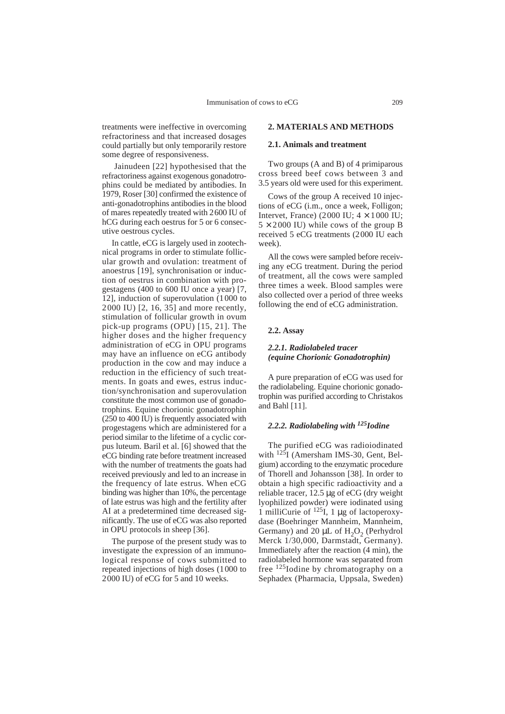treatments were ineffective in overcoming refractoriness and that increased dosages could partially but only temporarily restore some degree of responsiveness.

Jainudeen [22] hypothesised that the refractoriness against exogenous gonadotrophins could be mediated by antibodies. In 1979, Roser [30] confirmed the existence of anti-gonadotrophins antibodies in the blood of mares repeatedly treated with 2600 IU of hCG during each oestrus for 5 or 6 consecutive oestrous cycles.

In cattle, eCG is largely used in zootechnical programs in order to stimulate follicular growth and ovulation: treatment of anoestrus [19], synchronisation or induction of oestrus in combination with progestagens (400 to 600 IU once a year) [7, 12], induction of superovulation (1000 to 2000 IU) [2, 16, 35] and more recently, stimulation of follicular growth in ovum pick-up programs (OPU) [15, 21]. The higher doses and the higher frequency administration of eCG in OPU programs may have an influence on eCG antibody production in the cow and may induce a reduction in the efficiency of such treatments. In goats and ewes, estrus induction/synchronisation and superovulation constitute the most common use of gonadotrophins. Equine chorionic gonadotrophin (250 to 400 IU) is frequently associated with progestagens which are administered for a period similar to the lifetime of a cyclic corpus luteum. Baril et al. [6] showed that the eCG binding rate before treatment increased with the number of treatments the goats had received previously and led to an increase in the frequency of late estrus. When eCG binding was higher than 10%, the percentage of late estrus was high and the fertility after AI at a predetermined time decreased significantly. The use of eCG was also reported in OPU protocols in sheep [36].

The purpose of the present study was to investigate the expression of an immunological response of cows submitted to repeated injections of high doses (1000 to 2000 IU) of eCG for 5 and 10 weeks.

### **2. MATERIALS AND METHODS**

#### **2.1. Animals and treatment**

Two groups (A and B) of 4 primiparous cross breed beef cows between 3 and 3.5 years old were used for this experiment.

Cows of the group A received 10 injections of eCG (i.m., once a week, Folligon; Intervet, France) (2000 IU;  $4 \times 1000$  IU;  $5 \times 2000$  IU) while cows of the group B received 5 eCG treatments (2000 IU each week).

All the cows were sampled before receiving any eCG treatment. During the period of treatment, all the cows were sampled three times a week. Blood samples were also collected over a period of three weeks following the end of eCG administration.

#### **2.2. Assay**

# *2.2.1. Radiolabeled tracer (equine Chorionic Gonadotrophin)*

A pure preparation of eCG was used for the radiolabeling. Equine chorionic gonadotrophin was purified according to Christakos and Bahl [11].

# *2.2.2. Radiolabeling with 125Iodine*

The purified eCG was radioiodinated with <sup>125</sup>I (Amersham IMS-30, Gent, Belgium) according to the enzymatic procedure of Thorell and Johansson [38]. In order to obtain a high specific radioactivity and a reliable tracer, 12.5 µg of eCG (dry weight lyophilized powder) were iodinated using 1 milliCurie of  $^{125}I$ , 1 µg of lactoperoxydase (Boehringer Mannheim, Mannheim, Germany) and 20  $\mu$ L of H<sub>2</sub>O<sub>2</sub> (Perhydrol Merck 1/30,000, Darmstadt, Germany). Immediately after the reaction (4 min), the radiolabeled hormone was separated from free <sup>125</sup>Iodine by chromatography on a Sephadex (Pharmacia, Uppsala, Sweden)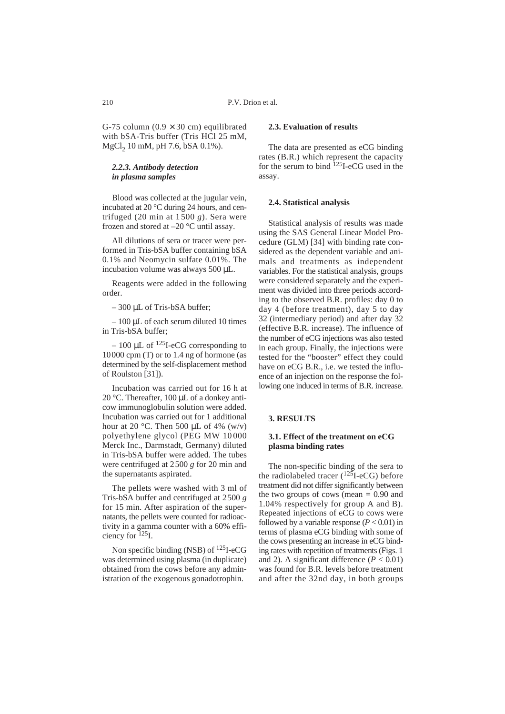G-75 column  $(0.9 \times 30 \text{ cm})$  equilibrated with bSA-Tris buffer (Tris HCl 25 mM, MgCl<sub>2</sub> 10 mM, pH 7.6, bSA 0.1%).

### *2.2.3. Antibody detection in plasma samples*

Blood was collected at the jugular vein, incubated at 20 °C during 24 hours, and centrifuged (20 min at 1500 *g*). Sera were frozen and stored at –20 °C until assay.

All dilutions of sera or tracer were performed in Tris-bSA buffer containing bSA 0.1% and Neomycin sulfate 0.01%. The incubation volume was always 500 µL.

Reagents were added in the following order.

– 300 µL of Tris-bSA buffer;

 $-100$  µL of each serum diluted 10 times in Tris-bSA buffer;

 $-100 \mu L$  of <sup>125</sup>I-eCG corresponding to 10000 cpm (T) or to 1.4 ng of hormone (as determined by the self-displacement method of Roulston [31]).

Incubation was carried out for 16 h at 20 °C. Thereafter, 100 µL of a donkey anticow immunoglobulin solution were added. Incubation was carried out for 1 additional hour at 20  $\degree$ C. Then 500 uL of 4% (w/v) polyethylene glycol (PEG MW 10000 Merck Inc., Darmstadt, Germany) diluted in Tris-bSA buffer were added. The tubes were centrifuged at 2500 *g* for 20 min and the supernatants aspirated.

The pellets were washed with 3 ml of Tris-bSA buffer and centrifuged at 2500 *g* for 15 min. After aspiration of the supernatants, the pellets were counted for radioactivity in a gamma counter with a 60% efficiency for 125I.

Non specific binding (NSB) of 125I-eCG was determined using plasma (in duplicate) obtained from the cows before any administration of the exogenous gonadotrophin.

# **2.3. Evaluation of results**

The data are presented as eCG binding rates (B.R.) which represent the capacity for the serum to bind  $^{125}$ I-eCG used in the assay.

#### **2.4. Statistical analysis**

Statistical analysis of results was made using the SAS General Linear Model Procedure (GLM) [34] with binding rate considered as the dependent variable and animals and treatments as independent variables. For the statistical analysis, groups were considered separately and the experiment was divided into three periods according to the observed B.R. profiles: day 0 to day 4 (before treatment), day 5 to day 32 (intermediary period) and after day 32 (effective B.R. increase). The influence of the number of eCG injections was also tested in each group. Finally, the injections were tested for the "booster" effect they could have on eCG B.R., i.e. we tested the influence of an injection on the response the following one induced in terms of B.R. increase.

# **3. RESULTS**

# **3.1. Effect of the treatment on eCG plasma binding rates**

The non-specific binding of the sera to the radiolabeled tracer  $(^{125}I\text{-eCG})$  before treatment did not differ significantly between the two groups of cows (mean *=* 0.90 and 1.04% respectively for group A and B). Repeated injections of eCG to cows were followed by a variable response (*P* < 0.01) in terms of plasma eCG binding with some of the cows presenting an increase in eCG binding rates with repetition of treatments (Figs. 1 and 2). A significant difference  $(P < 0.01)$ was found for B.R. levels before treatment and after the 32nd day, in both groups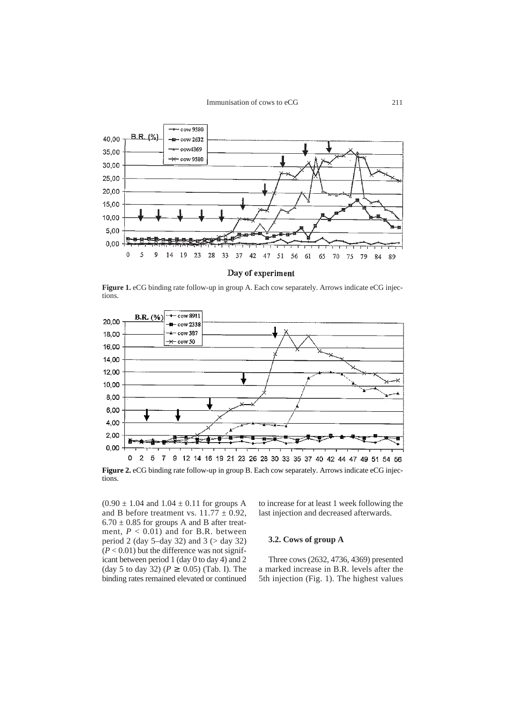

Day of experiment

**Figure 1.** eCG binding rate follow-up in group A. Each cow separately. Arrows indicate eCG injections.



**Figure 2.** eCG binding rate follow-up in group B. Each cow separately. Arrows indicate eCG injections.

 $(0.90 \pm 1.04$  and  $1.04 \pm 0.11$  for groups A and B before treatment vs.  $11.77 \pm 0.92$ ,  $6.70 \pm 0.85$  for groups A and B after treatment,  $P < 0.01$ ) and for B.R. between period 2 (day 5–day 32) and 3 (> day 32)  $(P < 0.01)$  but the difference was not significant between period 1 (day 0 to day 4) and 2 (day 5 to day 32) ( $P \ge 0.05$ ) (Tab. I). The binding rates remained elevated or continued

to increase for at least 1 week following the last injection and decreased afterwards.

### **3.2. Cows of group A**

Three cows (2632, 4736, 4369) presented a marked increase in B.R. levels after the 5th injection (Fig. 1). The highest values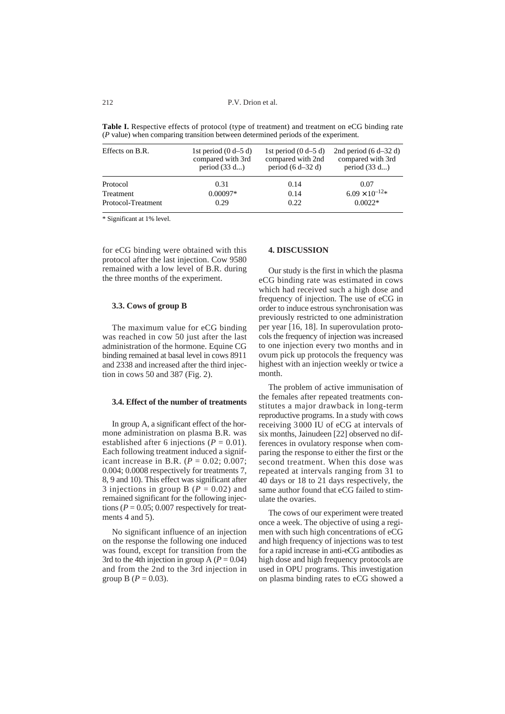**Table I.** Respective effects of protocol (type of treatment) and treatment on eCG binding rate (*P* value) when comparing transition between determined periods of the experiment.

| Effects on B.R.    | 1st period $(0 d-5 d)$<br>compared with 3rd<br>period $(33 d)$ | 1st period $(0 d-5 d)$<br>compared with 2nd<br>period $(6 d-32 d)$ | 2nd period $(6 d-32 d)$<br>compared with 3rd<br>period $(33 d)$ |
|--------------------|----------------------------------------------------------------|--------------------------------------------------------------------|-----------------------------------------------------------------|
| Protocol           | 0.31                                                           | 0.14                                                               | 0.07                                                            |
| Treatment          | $0.00097*$                                                     | 0.14                                                               | $6.09 \times 10^{-12*}$                                         |
| Protocol-Treatment | 0.29                                                           | 0.22                                                               | $0.0022*$                                                       |

\* Significant at 1% level.

for eCG binding were obtained with this protocol after the last injection. Cow 9580 remained with a low level of B.R. during the three months of the experiment.

#### **3.3. Cows of group B**

The maximum value for eCG binding was reached in cow 50 just after the last administration of the hormone. Equine CG binding remained at basal level in cows 8911 and 2338 and increased after the third injection in cows 50 and 387 (Fig. 2).

#### **3.4. Effect of the number of treatments**

In group A, a significant effect of the hormone administration on plasma B.R. was established after 6 injections ( $P = 0.01$ ). Each following treatment induced a significant increase in B.R. ( $P = 0.02$ ; 0.007; 0.004; 0.0008 respectively for treatments 7, 8, 9 and 10). This effect was significant after 3 injections in group B ( $P = 0.02$ ) and remained significant for the following injections ( $P = 0.05$ ; 0.007 respectively for treatments 4 and 5).

No significant influence of an injection on the response the following one induced was found, except for transition from the 3rd to the 4th injection in group A  $(P = 0.04)$ and from the 2nd to the 3rd injection in group B ( $P = 0.03$ ).

# **4. DISCUSSION**

Our study is the first in which the plasma eCG binding rate was estimated in cows which had received such a high dose and frequency of injection. The use of eCG in order to induce estrous synchronisation was previously restricted to one administration per year [16, 18]. In superovulation protocols the frequency of injection was increased to one injection every two months and in ovum pick up protocols the frequency was highest with an injection weekly or twice a month.

The problem of active immunisation of the females after repeated treatments constitutes a major drawback in long-term reproductive programs. In a study with cows receiving 3000 IU of eCG at intervals of six months, Jainudeen [22] observed no differences in ovulatory response when comparing the response to either the first or the second treatment. When this dose was repeated at intervals ranging from 31 to 40 days or 18 to 21 days respectively, the same author found that eCG failed to stimulate the ovaries.

The cows of our experiment were treated once a week. The objective of using a regimen with such high concentrations of eCG and high frequency of injections was to test for a rapid increase in anti-eCG antibodies as high dose and high frequency protocols are used in OPU programs. This investigation on plasma binding rates to eCG showed a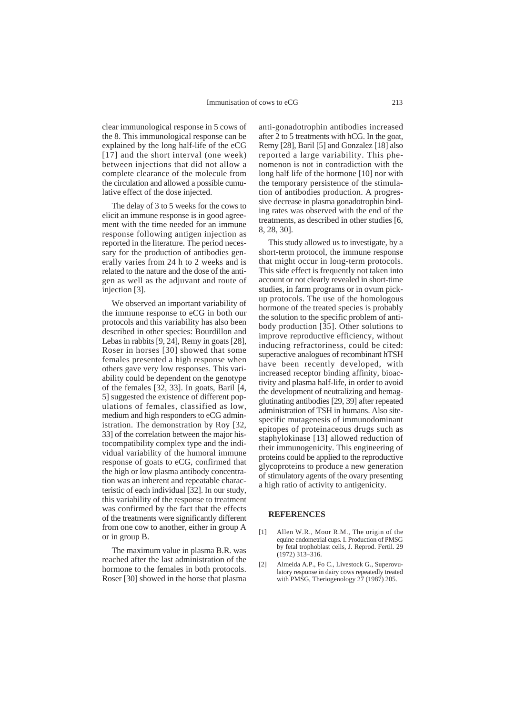clear immunological response in 5 cows of the 8. This immunological response can be explained by the long half-life of the eCG [17] and the short interval (one week) between injections that did not allow a complete clearance of the molecule from the circulation and allowed a possible cumulative effect of the dose injected.

The delay of 3 to 5 weeks for the cows to elicit an immune response is in good agreement with the time needed for an immune response following antigen injection as reported in the literature. The period necessary for the production of antibodies generally varies from 24 h to 2 weeks and is related to the nature and the dose of the antigen as well as the adjuvant and route of injection [3].

We observed an important variability of the immune response to eCG in both our protocols and this variability has also been described in other species: Bourdillon and Lebas in rabbits [9, 24], Remy in goats [28], Roser in horses [30] showed that some females presented a high response when others gave very low responses. This variability could be dependent on the genotype of the females [32, 33]. In goats, Baril [4, 5] suggested the existence of different populations of females, classified as low, medium and high responders to eCG administration. The demonstration by Roy [32, 33] of the correlation between the major histocompatibility complex type and the individual variability of the humoral immune response of goats to eCG, confirmed that the high or low plasma antibody concentration was an inherent and repeatable characteristic of each individual [32]. In our study, this variability of the response to treatment was confirmed by the fact that the effects of the treatments were significantly different from one cow to another, either in group A or in group B.

The maximum value in plasma B.R. was reached after the last administration of the hormone to the females in both protocols. Roser [30] showed in the horse that plasma anti-gonadotrophin antibodies increased after 2 to 5 treatments with hCG. In the goat, Remy [28], Baril [5] and Gonzalez [18] also reported a large variability. This phenomenon is not in contradiction with the long half life of the hormone [10] nor with the temporary persistence of the stimulation of antibodies production. A progressive decrease in plasma gonadotrophin binding rates was observed with the end of the treatments, as described in other studies [6, 8, 28, 30].

This study allowed us to investigate, by a short-term protocol, the immune response that might occur in long-term protocols. This side effect is frequently not taken into account or not clearly revealed in short-time studies, in farm programs or in ovum pickup protocols. The use of the homologous hormone of the treated species is probably the solution to the specific problem of antibody production [35]. Other solutions to improve reproductive efficiency, without inducing refractoriness, could be cited: superactive analogues of recombinant hTSH have been recently developed, with increased receptor binding affinity, bioactivity and plasma half-life, in order to avoid the development of neutralizing and hemagglutinating antibodies [29, 39] after repeated administration of TSH in humans. Also sitespecific mutagenesis of immunodominant epitopes of proteinaceous drugs such as staphylokinase [13] allowed reduction of their immunogenicity. This engineering of proteins could be applied to the reproductive glycoproteins to produce a new generation of stimulatory agents of the ovary presenting a high ratio of activity to antigenicity.

#### **REFERENCES**

- [1] Allen W.R., Moor R.M., The origin of the equine endometrial cups. I. Production of PMSG by fetal trophoblast cells, J. Reprod. Fertil. 29 (1972) 313–316.
- [2] Almeida A.P., Fo C., Livestock G., Superovulatory response in dairy cows repeatedly treated with PMSG, Theriogenology 27 (1987) 205.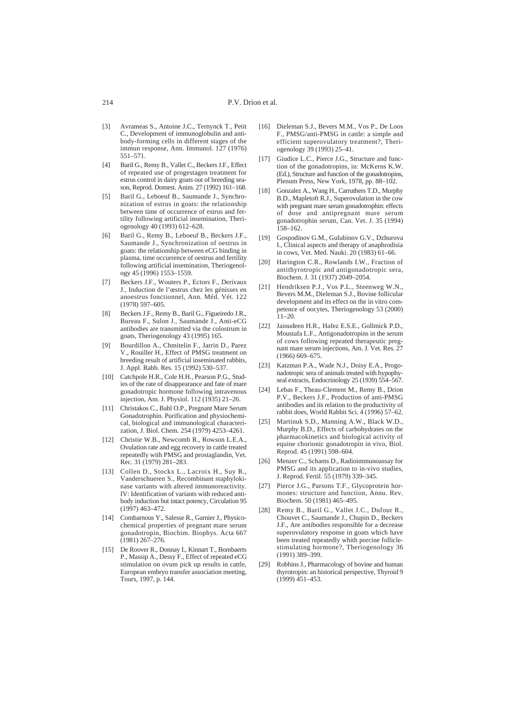- [3] Avrameas S., Antoine J.C., Ternynck T., Petit C., Development of immunoglobulin and antibody-forming cells in different stages of the immun response, Ann. Immunol. 127 (1976) 551–571.
- [4] Baril G., Remy B., Vallet C., Beckers J.F., Effect of repeated use of progestagen treatment for estrus control in dairy goats out of breeding season, Reprod. Domest. Anim. 27 (1992) 161–168.
- [5] Baril G., Leboeuf B., Saumande J., Synchronization of estrus in goats: the relationship between time of occurrence of estrus and fertility following artificial insemination, Theriogenology 40 (1993) 612–628.
- [6] Baril G., Remy B., Leboeuf B., Beckers J.F., Saumande J., Synchronization of oestrus in goats: the relationship between eCG binding in plasma, time occurrence of oestrus and fertility following artificial insemination, Theriogenology 45 (1996) 1553–1559.
- [7] Beckers J.F., Wouters P., Ectors F., Derivaux J., Induction de l'œstrus chez les génisses en anoestrus fonctionnel, Ann. Méd. Vét. 122 (1978) 597–605.
- [8] Beckers J.F., Remy B., Baril G., Figueiredo J.R., Bureau F., Sulon J., Saumande J., Anti-eCG antibodies are transmitted via the colostrum in goats, Theriogenology 43 (1995) 165.
- [9] Bourdillon A., Chmitelin F., Jarrin D., Parez V., Rouiller H., Effect of PMSG treatment on breeding result of artificial inseminated rabbits, J. Appl. Rabb. Res. 15 (1992) 530–537.
- [10] Catchpole H.R., Cole H.H., Pearson P.G., Studies of the rate of disappearance and fate of mare gonadotropic hormone following intravenous injection, Am. J. Physiol. 112 (1935) 21–26.
- [11] Christakos C., Bahl O.P., Pregnant Mare Serum Gonadotrophin. Purification and physiochemical, biological and immunological characterization, J. Biol. Chem. 254 (1979) 4253–4261.
- [12] Christie W.B., Newcomb R., Rowson L.E.A., Ovulation rate and egg recovery in cattle treated repeatedly with PMSG and prostaglandin, Vet. Rec. 31 (1979) 281–283.
- [13] Collen D., Stockx L., Lacroix H., Suy R., Vanderschueren S., Recombinant staphylokinase variants with altered immunoreactivity. IV: Identification of variants with reduced antibody induction but intact potency, Circulation 95 (1997) 463–472.
- [14] Combarnous Y., Salesse R., Garnier J., Physicochemical properties of pregnant mare serum gonadotropin, Biochim. Biophys. Acta 667 (1981) 267–276.
- [15] De Roover R., Donnay I., Kinnart T., Bombaerts P., Massip A., Dessy F., Effect of repeated eCG stimulation on ovum pick up results in cattle, European embryo transfer association meeting, Tours, 1997, p. 144.
- [16] Dieleman S.J., Bevers M.M., Vos P., De Loos F., PMSG/anti-PMSG in cattle: a simple and efficient superovulatory treatment?, Theriogenology 39 (1993) 25–41.
- [17] Giudice L.C., Pierce J.G., Structure and function of the gonadotropins, in: McKerns K.W. (Ed.), Structure and function of the gonadotropins, Plenum Press, New York, 1978, pp. 88–102.
- [18] Gonzalez A., Wang H., Carruthers T.D., Murphy B.D., Mapletoft R.J., Superovulation in the cow with pregnant mare serum gonadotrophin: effects of dose and antipregnant mare serum gonadotrophin serum, Can. Vet. J. 35 (1994) 158–162.
- [19] Gospodinov G.M., Gulubinov G.V., Dzhurova I., Clinical aspects and therapy of anaphrodisia in cows, Vet. Med. Nauki. 20 (1983) 61–66.
- [20] Harington C.R., Rowlands I.W., Fraction of antithyrotropic and antigonadotropic sera, Biochem. J. 31 (1937) 2049–2054.
- [21] Hendriksen P.J., Vos P.L., Steenweg W.N., Bevers M.M., Dieleman S.J., Bovine follicular development and its effect on the in vitro competence of oocytes, Theriogenology 53 (2000)  $11-20.$
- [22] Jainudeen H.R., Hafez E.S.E., Gollmick P.D., Moustafa L.F., Antigonadotropins in the serum of cows following repeated therapeutic pregnant mare serum injections, Am. J. Vet. Res. 27 (1966) 669–675.
- [23] Katzman P.A., Wade N.J., Doisy E.A., Progonadotropic sera of animals treated with hypophyseal extracts, Endocrinology 25 (1939) 554–567.
- [24] Lebas F., Theau-Clement M., Remy B., Drion P.V., Beckers J.F., Production of anti-PMSG antibodies and its relation to the productivity of rabbit does, World Rabbit Sci. 4 (1996) 57–62.
- [25] Martinuk S.D., Manning A.W., Black W.D., Murphy B.D., Effects of carbohydrates on the pharmacokinetics and biological activity of equine chorionic gonadotropin in vivo, Biol. Reprod. 45 (1991) 598–604.
- [26] Menzer C., Schams D., Radioimmunoassay for PMSG and its application to in-vivo studies, J. Reprod. Fertil. 55 (1979) 339–345.
- [27] Pierce J.G., Parsons T.F., Glycoprotein hormones: structure and function, Annu. Rev. Biochem. 50 (1981) 465–495.
- [28] Remy B., Baril G., Vallet J.C., Dufour R., Chouvet C., Saumande J., Chupin D., Beckers J.F., Are antibodies responsible for a decrease superovulatory response in goats which have been treated repeatedly whith porcine folliclestimulating hormone?, Theriogenology 36 (1991) 389–399.
- [29] Robbins J., Pharmacology of bovine and human thyrotropin: an historical perspective, Thyroid 9 (1999) 451–453.